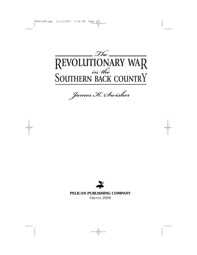

James K. Swisher



**PELICAN PUBLISHING COMPANY** GRETNA 2008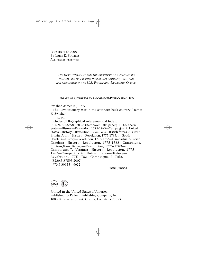COPYRIGHT © 2008 BY JAMES K. SWISHER ALL RIGHTS RESERVED

> *THE WORD "PELICAN" AND THE DEPICTION OF A PELICAN ARE TRADEMARKS OF PELICAN PUBLISHING COMPANY, INC., AND ARE REGISTERED IN THE U.S. PATENT AND TRADEMARK OFFICE.*

## LIBRARY OF CONGRESS CATALOGING-IN-PUBLICATION DATA

Swisher, James K., 1939-

The Revolutionary War in the southern back country / James K. Swisher.

p. cm.

Includes bibliographical references and index. ISBN 978-1-58980-503-3 (hardcover : alk. paper) 1. Southern States—History—Revolution, 1775-1783—Campaigns. 2. United States—History—Revolution, 1775-1783—British forces. 3. Great Britain. Army—History—Revolution, 1775-1783. 4. South Carolina—History—Revolution, 1775-1783—Campaigns. 5. North Carolina—History—Revolution, 1775-1783—Campaigns. 6. Georgia—History—Revolution, 1775-1783— Campaigns. 7. Virginia—History—Revolution, 1775- 1783—Campaigns. 8. United States—History— Revolution, 1775-1783—Campaigns. I. Title. E230.5.S7S95 2007 973.3'30975—dc22

2007028064



Printed in the United States of America Published by Pelican Publishing Company, Inc. 1000 Burmaster Street, Gretna, Louisiana 70053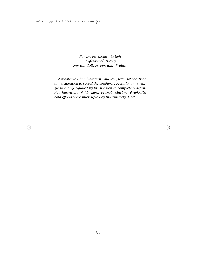*For Dr. Raymond Warlick Professor of History Ferrum College, Ferrum, Virginia*

*A master teacher, historian, and storyteller whose drive and dedication to reveal the southern revolutionary struggle was only equaled by his passion to complete a definitive biography of his hero, Francis Marion. Tragically, both efforts were interrupted by his untimely death.*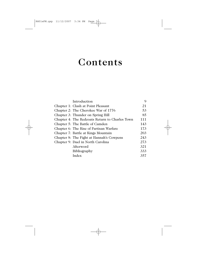## Contents

| Introduction                                   | 9   |
|------------------------------------------------|-----|
| Chapter 1: Clash at Point Pleasant             | 21  |
| Chapter 2: The Cherokee War of 1776            | 53  |
| Chapter 3: Thunder on Spring Hill              | 85  |
| Chapter 4: The Redcoats Return to Charles Town | 111 |
| Chapter 5: The Battle of Camden                | 143 |
| Chapter 6: The Rise of Partisan Warfare        | 173 |
| Chapter 7: Battle at Kings Mountain            | 203 |
| Chapter 8: The Fight at Hannah's Cowpens       | 243 |
| Chapter 9: Duel in North Carolina              | 273 |
| Afterword                                      | 321 |
| Bibliography                                   | 333 |
| Index                                          | 357 |
|                                                |     |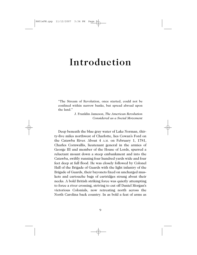## Introduction

"The Stream of Revolution, once started, could not be confined within narrow banks, but spread abroad upon the land."

> J. Franklin Jameson, *The American Revolution Considered as a Social Movement*

Deep beneath the blue gray water of Lake Norman, thirty-five miles northwest of Charlotte, lies Cowan's Ford on the Catawba River. About 4 A.M. on February 1, 1781, Charles Cornwallis, lieutenant general in the armies of George III and member of the House of Lords, spurred a reluctant mount down a steep embankment and into the Catawba, swiftly running four hundred yards wide and four feet deep at full flood. He was closely followed by Colonel Hall of the Brigade of Guards with the light infantry of the Brigade of Guards, their bayonets fixed on uncharged muskets and cartouche bags of cartridges strung about their necks. A bold British striking force was quietly attempting to force a river crossing, striving to cut off Daniel Morgan's victorious Colonials, now retreating north across the North Carolina back country. In as bold a feat of arms as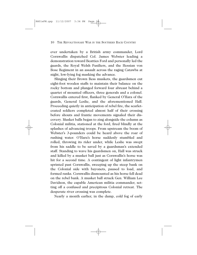ever undertaken by a British army commander, Lord Cornwallis dispatched Col. James Webster leading a demonstration toward Beatties Ford and personally led the guards, the Royal Welsh Fusiliers, and the Hessian von Bose Regiment in an assault across the raging Catawba at night, low-lying fog masking the advance.

Slinging their Brown Bess muskets, the guardsmen cut eight-foot wooden staffs to maintain their balance on the rocky bottom and plunged forward four abreast behind a quartet of mounted officers, three generals and a colonel. Cornwallis entered first, flanked by General O'Hara of the guards, General Leslie, and the aforementioned Hall. Proceeding quietly in anticipation of rebel fire, the scarletcoated soldiers completed almost half of their crossing before shouts and frantic movements signaled their discovery. Musket balls began to zing alongside the column as Colonial militia, stationed at the ford, fired blindly at the splashes of advancing troops. From upstream the boom of Webster's 3-pounders could be heard above the roar of rushing water. O'Hara's horse suddenly stumbled and rolled, throwing its rider under, while Leslie was swept from his saddle to be saved by a guardsman's extended staff. Standing to wave his guardsmen on, Hall was struck and killed by a musket ball just as Cornwallis's horse was hit for a second time. A contingent of light infantrymen sprinted past Cornwallis, sweeping up the steep bank on the Colonial side with bayonets, paused to load, and formed ranks. Cornwallis dismounted as his horse fell dead on the rebel bank. A musket ball struck Gen. William Lee Davidson, the capable American militia commander, setting off a confused and precipitous Colonial retreat. The desperate river crossing was complete.

Nearly a month earlier, in the damp, cold fog of early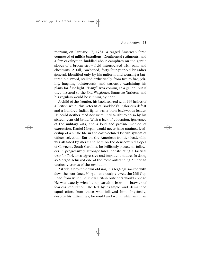morning on January 17, 1781, a ragged American force composed of militia battalions, Continental regiments, and a few cavalrymen huddled about campfires on the gentle slopes of a broom-straw field interspersed with oaks and chestnuts. A tall, rawboned, forty-four-year-old brigadier general, identified only by his uniform and wearing a battered old sword, stalked arthritically from fire to fire, joking, laughing boisterously, and patiently explaining his plans for first light. "Bany" was coming at a gallop, but if they listened to the Old Waggoner, Banastre Tarleton and his regulars would be running by noon.

A child of the frontier, his back scarred with 499 lashes of a British whip, this veteran of Braddock's inglorious defeat and a hundred Indian fights was a born backwoods leader. He could neither read nor write until taught to do so by his sixteen-year-old bride. With a lack of education, ignorance of the military arts, and a loud and profane method of expression, Daniel Morgan would never have attained leadership of a single file in the caste-defined British system of officer selection. But on the American frontier leadership was attained by merit and here on the dew-covered slopes of Cowpens, South Carolina, he brilliantly placed his followers in progressively stronger lines, constructing a tactical trap for Tarleton's aggressive and impatient nature. In doing so Morgan achieved one of the most outstanding American tactical victories of the revolution.

Astride a broken-down old nag, his leggings soaked with dew, the scar-faced Morgan anxiously viewed the Mill Gap Road from which he knew British outriders would appear. He was exactly what he appeared: a barroom brawler of fearless reputation. He led by example and demanded equal effort from those who followed him. Physically, despite his infirmities, he could and would whip any man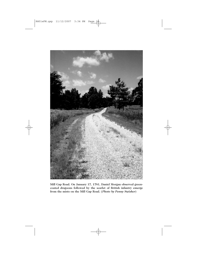

Mill Gap Road. On January 17, 1781, Daniel Morgan observed greencoated dragoons followed by the scarlet of British infantry emerge from the mists on the Mill Gap Road. (*Photo by Penny Swisher*)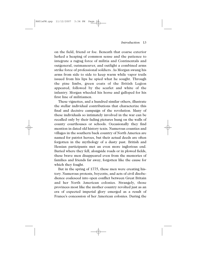on the field, friend or foe. Beneath that coarse exterior lurked a heaping of common sense and the patience to integrate a ragtag force of militia and Continentals and outgeneral, outmaneuver, and outfight a combined arms strike force of professional soldiers. As Morgan swung his arms from side to side to keep warm while vapor trails issued from his lips he spied what he sought. Through the pine limbs, green coats of the British Legion appeared, followed by the scarlet and white of the infantry. Morgan wheeled his horse and galloped for his first line of militiamen.

These vignettes, and a hundred similar others, illustrate the stellar individual contributions that characterize this final and decisive campaign of the revolution. Many of these individuals so intimately involved in the war can be recalled only by their fading pictures hung on the walls of county courthouses or schools. Occasionally they find mention in dated old history texts. Numerous counties and villages in the southern back country of North America are named for patriot heroes, but their actual deeds are often forgotten in the mythology of a dusty past. British and Hessian participants met an even more inglorious end. Buried where they fell, alongside roads or in plowed fields, these brave men disappeared even from the memories of families and friends far away, forgotten like the cause for which they fought.

But in the spring of 1775, these men were creating history. Numerous protests, boycotts, and acts of civil disobedience coalesced into open conflict between Great Britain and her North American colonies. Strangely, those provinces most like the mother country revolted just as an era of expected imperial glory emerged as a result of France's concession of her American colonies. During the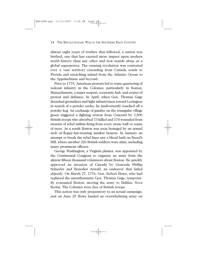almost eight years of warfare that followed, a nation was birthed, one that has exerted more impact upon modern world history than any other and now stands alone as a global superpower. The ensuing revolution was contested over a vast territory extending from Canada south to Florida and stretching inland from the Atlantic Ocean to the Appalachians and beyond.

Prior to 1775, American protests led to some quartering of redcoat infantry in the Colonies, particularly in Boston, Massachusetts, a major seaport, economic hub, and center of protest and defiance. In April, when Gen. Thomas Gage detached grenadiers and light infantrymen toward Lexington in search of a powder cache, he inadvertently touched off a powder keg. An exchange of gunfire on the triangular village green triggered a fighting retreat from Concord by 1,800 British troops who absorbed 73 killed and 174 wounded from swarms of rebel militia firing from every stone wall or copse of trees. As a result Boston was soon besieged by an armed mob of floppy-hat-wearing musket bearers. In January an attempt to break the rebel lines saw a blood bath on Breed's Hill, where another 226 British soldiers were slain, including many prominent officers.

George Washington, a Virginia planter, was appointed by the Continental Congress to organize an army from the almost fifteen thousand volunteers about Boston. He quickly approved an invasion of Canada by Generals Phillip Schuyler and Benedict Arnold, an endeavor that failed abjectly. On March 27, 1776, Gen. Robert Howe, who had replaced the unenthusiastic Gen. Thomas Gage, temporarily evacuated Boston, moving the army to Halifax, Nova Scotia. The Colonies were free of British troops.

This action was only preparatory to an actual campaign, and on June 25 Howe landed an overwhelming army on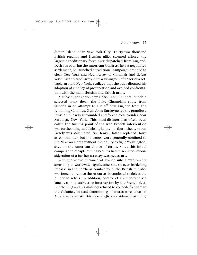Staten Island near New York City. Thirty-two thousand British regulars and Hessian allies stormed ashore, the largest expeditionary force ever dispatched from England. Desirous of awing the American Congress into a negotiated settlement, he launched a traditional campaign intended to clear New York and New Jersey of Colonials and defeat Washington's rebel army. But Washington, after serious setbacks around New York, realized that the odds dictated his adoption of a policy of preservation and avoided confrontation with the main Hessian and British army.

A subsequent action saw British commanders launch a selected army down the Lake Champlain route from Canada in an attempt to cut off New England from the remaining Colonies. Gen. John Burgoyne led the grandiose invasion but was surrounded and forced to surrender near Saratoga, New York. This mini-disaster has often been called the turning point of the war. French intervention was forthcoming and fighting in the northern theater soon largely was stalemated. Sir Henry Clinton replaced Howe as commander, but his troops were generally confined to the New York area without the ability to fight Washington, save on the American choice of terms. Since this initial campaign to recapture the Colonies had miscarried, reconsideration of a further strategy was necessary.

With the active entrance of France into a war rapidly spreading to worldwide significance and an ever hardening impasse in the northern combat zone, the British ministry was forced to reduce the resources it employed to defeat the American rebels. In addition, control of all-important sea lanes was now subject to interruption by the French fleet. But the king and his ministry refused to concede freedom to the Colonies, instead determining to increase reliance on American Loyalists. British strategists considered instituting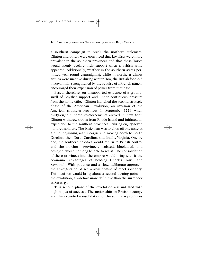a southern campaign to break the northern stalemate. Clinton and others were convinced that Loyalists were more prevalent in the southern provinces and that these Tories would openly declare their support when a British army appeared. Additionally, weather in the southern states permitted year-round campaigning, while in northern climes armies were inactive during winter. Too, the British foothold in Savannah, strengthened by the repulse of a French attack, encouraged their expansion of power from that base.

Based, therefore, on unsupported evidence of a groundswell of Loyalist support and under continuous pressure from the home office, Clinton launched the second strategic phase of the American Revolution, an invasion of the American southern provinces. In September 1779, when thirty-eight hundred reinforcements arrived in New York, Clinton withdrew troops from Rhode Island and initiated an expedition to the southern provinces utilizing eighty-seven hundred soldiers. The basic plan was to chop off one state at a time, beginning with Georgia and moving north to South Carolina, then North Carolina, and finally, Virginia. One by one, the southern colonies would return to British control and the northern provinces, isolated, blockaded, and besieged, would not long be able to resist. The consolidation of these provinces into the empire would bring with it the economic advantages of holding Charles Town and Savannah. With patience and a slow, deliberate approach, the strategists could see a slow demise of rebel solidarity. This decision would bring about a second turning point in the revolution, a juncture more definitive than the surrender at Saratoga.

This second phase of the revolution was initiated with high hopes of success. The major shift in British strategy and the expected consolidation of the southern provinces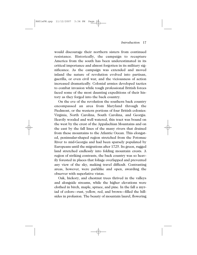would discourage their northern sisters from continued resistance. Historically, the campaign to recapture America from the south has been underestimated in its critical importance and almost forgotten in its military significance. As the campaign was extended and moved inland the nature of revolution evolved into partisan, guerilla, or even civil war, and the viciousness of action increased dramatically. Colonial armies developed tactics to combat invasion while tough professional British forces faced some of the most daunting expeditions of their history as they forged into the back country.

On the eve of the revolution the southern back country encompassed an area from Maryland through the Piedmont, or the western portions of four British colonies: Virginia, North Carolina, South Carolina, and Georgia. Heavily wooded and well watered, this tract was bound on the west by the crest of the Appalachian Mountains and on the east by the fall lines of the many rivers that drained from these mountains to the Atlantic Ocean. This elongated, peninsular-shaped region stretched from the Potomac River to mid-Georgia and had been sparsely populated by Europeans until the migrations after 1725. Its green, rugged land stretched endlessly into folding mountain crests. A region of striking contrasts, the back country was so heavily forested in places that foliage overlapped and prevented any view of the sky, making travel difficult. Contrasting areas, however, were parklike and open, awarding the observer with superlative vistas.

Oak, hickory, and chestnut trees thrived in the valleys and alongside streams, while the higher elevations were clothed in birch, maple, spruce, and pine. In the fall a myriad of colors—rust, yellow, red, and brown—filled the hillsides in profusion. The beauty of mountain laurel, flowering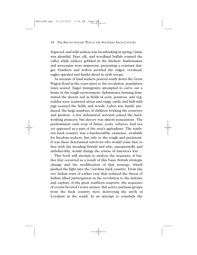dogwood, and wild azaleas was breathtaking in spring. Game was plentiful. Deer, elk, and woodland buffalo roamed the valley while turkeys gobbled in the thickets. Rattlesnakes and moccasins were numerous, presenting a constant danger. Panthers and wolves prowled the ridges; overhead, eagles spiraled and hawks dived in swift stoops.

As streams of land seekers poured south down the Great Wagon Road in the years prior to the revolution, population rates soared. Eager immigrants attempted to carve out a home in the tough environment. Subsistence farming dominated the decent soil as fields of corn, potatoes, and vegetables were scattered about and rangy cattle and half-wild pigs roamed the fields and woods. Labor was family produced, the large numbers of children working the cornrows and gardens. A few indentured servants joined the hardworking pioneers, but slavery was almost nonexistent. The predominant cash crop of future years, tobacco, had not yet appeared as a part of the area's agriculture. The southern back country was a hardscrabble existence, available for freedom seekers, but only to the rough and persistent. It was these determined survivors who would come face to face with the invading British and who, unexpectedly and unbelievably, would change the course of America's war.

This book will attempt to analyze the sequence of battles that occurred as a result of this basic British strategic change and the modification of that strategy, which pushed the fight into the Carolina back country. From the two Indian wars of earlier eras that reduced the threat of Indian allied participation in the revolution to the defense and capture of the great southern seaports, the sequence of events favored Crown armies. But active partisan groups from the back country were destroying the myth of Loyalism in the south. In an attempt to conclude the